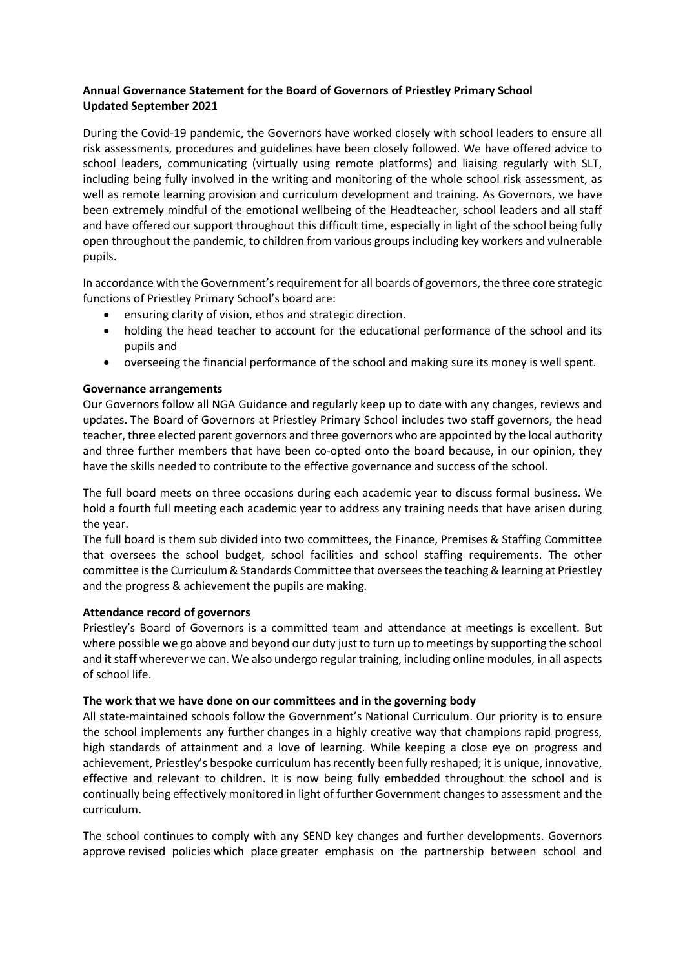# Annual Governance Statement for the Board of Governors of Priestley Primary School Updated September 2021

During the Covid-19 pandemic, the Governors have worked closely with school leaders to ensure all risk assessments, procedures and guidelines have been closely followed. We have offered advice to school leaders, communicating (virtually using remote platforms) and liaising regularly with SLT, including being fully involved in the writing and monitoring of the whole school risk assessment, as well as remote learning provision and curriculum development and training. As Governors, we have been extremely mindful of the emotional wellbeing of the Headteacher, school leaders and all staff and have offered our support throughout this difficult time, especially in light of the school being fully open throughout the pandemic, to children from various groups including key workers and vulnerable pupils.

In accordance with the Government's requirement for all boards of governors, the three core strategic functions of Priestley Primary School's board are:

- ensuring clarity of vision, ethos and strategic direction.
- holding the head teacher to account for the educational performance of the school and its pupils and
- overseeing the financial performance of the school and making sure its money is well spent.

## Governance arrangements

Our Governors follow all NGA Guidance and regularly keep up to date with any changes, reviews and updates. The Board of Governors at Priestley Primary School includes two staff governors, the head teacher, three elected parent governors and three governors who are appointed by the local authority and three further members that have been co-opted onto the board because, in our opinion, they have the skills needed to contribute to the effective governance and success of the school.

The full board meets on three occasions during each academic year to discuss formal business. We hold a fourth full meeting each academic year to address any training needs that have arisen during the year.

The full board is them sub divided into two committees, the Finance, Premises & Staffing Committee that oversees the school budget, school facilities and school staffing requirements. The other committee is the Curriculum & Standards Committee that oversees the teaching & learning at Priestley and the progress & achievement the pupils are making.

### Attendance record of governors

Priestley's Board of Governors is a committed team and attendance at meetings is excellent. But where possible we go above and beyond our duty just to turn up to meetings by supporting the school and it staff wherever we can. We also undergo regular training, including online modules, in all aspects of school life.

### The work that we have done on our committees and in the governing body

All state-maintained schools follow the Government's National Curriculum. Our priority is to ensure the school implements any further changes in a highly creative way that champions rapid progress, high standards of attainment and a love of learning. While keeping a close eye on progress and achievement, Priestley's bespoke curriculum has recently been fully reshaped; it is unique, innovative, effective and relevant to children. It is now being fully embedded throughout the school and is continually being effectively monitored in light of further Government changes to assessment and the curriculum.

The school continues to comply with any SEND key changes and further developments. Governors approve revised policies which place greater emphasis on the partnership between school and